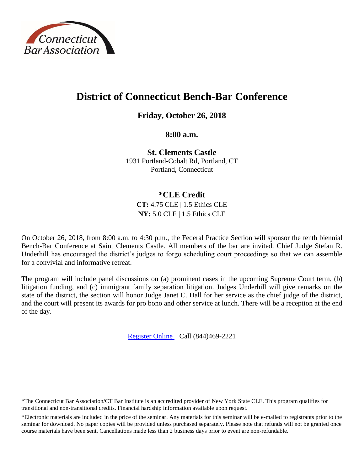

# **District of Connecticut Bench-Bar Conference**

**Friday, October 26, 2018**

**8:00 a.m.**

**St. Clements Castle** 1931 Portland-Cobalt Rd, Portland, CT Portland, Connecticut

# **\*CLE Credit**

**CT:** 4.75 CLE | 1.5 Ethics CLE **NY:** 5.0 CLE | 1.5 Ethics CLE

On October 26, 2018, from 8:00 a.m. to 4:30 p.m., the Federal Practice Section will sponsor the tenth biennial Bench-Bar Conference at Saint Clements Castle. All members of the bar are invited. Chief Judge Stefan R. Underhill has encouraged the district's judges to forgo scheduling court proceedings so that we can assemble for a convivial and informative retreat.

The program will include panel discussions on (a) prominent cases in the upcoming Supreme Court term, (b) litigation funding, and (c) immigrant family separation litigation. Judges Underhill will give remarks on the state of the district, the section will honor Judge Janet C. Hall for her service as the chief judge of the district, and the court will present its awards for pro bono and other service at lunch. There will be a reception at the end of the day.

[Register Online](https://www.ctbar.org/events-education/events/event/2018/10/26/default-calendar/district-of-connecticut-bench-bar-conference-sfp181026-1093229) | Call (844)469-2221

\*The Connecticut Bar Association/CT Bar Institute is an accredited provider of New York State CLE. This program qualifies for transitional and non-transitional credits. Financial hardship information available upon request.

\*Electronic materials are included in the price of the seminar. Any materials for this seminar will be e-mailed to registrants prior to the seminar for download. No paper copies will be provided unless purchased separately. Please note that refunds will not be granted once course materials have been sent. Cancellations made less than 2 business days prior to event are non-refundable.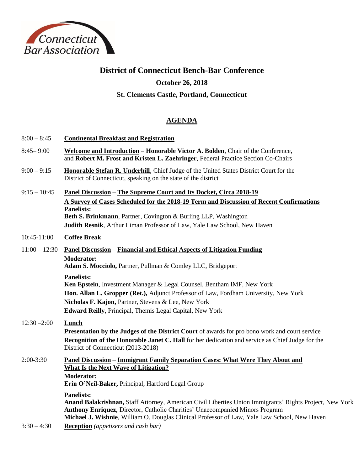

# **District of Connecticut Bench-Bar Conference**

## **October 26, 2018**

## **St. Clements Castle, Portland, Connecticut**

## **AGENDA**

- 8:00 8:45 **Continental Breakfast and Registration**
- 8:45– 9:00 **Welcome and Introduction Honorable Victor A. Bolden**, Chair of the Conference, and **Robert M. Frost and Kristen L. Zaehringer**, Federal Practice Section Co-Chairs
- 9:00 9:15 **Honorable Stefan R. Underhill**, Chief Judge of the United States District Court for the District of Connecticut, speaking on the state of the district
- 9:15 10:45 **Panel Discussion The Supreme Court and Its Docket, Circa 2018-19 A Survey of Cases Scheduled for the 2018-19 Term and Discussion of Recent Confirmations Panelists: Beth S. Brinkmann**, Partner, Covington & Burling LLP, Washington **Judith Resnik**, Arthur Liman Professor of Law, Yale Law School, New Haven

### 10:45-11:00 **Coffee Break**

11:00 – 12:30 **Panel Discussion** – **Financial and Ethical Aspects of Litigation Funding Moderator: Adam S. Mocciolo,** Partner, Pullman & Comley LLC, Bridgeport

#### **Panelists:**

**Ken Epstein**, Investment Manager & Legal Counsel, Bentham IMF, New York **Hon. Allan L. Gropper (Ret.),** Adjunct Professor of Law, Fordham University, New York **Nicholas F. Kajon,** Partner, Stevens & Lee, New York **Edward Reilly**, Principal, Themis Legal Capital, New York

# 12:30 –2:00 **Lunch**

**Presentation by the Judges of the District Court** of awards for pro bono work and court service **Recognition of the Honorable Janet C. Hall** for her dedication and service as Chief Judge for the District of Connecticut (2013-2018)

#### 2:00-3:30 **Panel Discussion** – **Immigrant Family Separation Cases: What Were They About and What Is the Next Wave of Litigation? Moderator: Erin O'Neil-Baker,** Principal, Hartford Legal Group

**Panelists:**

**Anand Balakrishnan,** Staff Attorney, American Civil Liberties Union Immigrants' Rights Project, New York **Anthony Enriquez,** Director, Catholic Charities' Unaccompanied Minors Program **Michael J. Wishnie**, William O. Douglas Clinical Professor of Law, Yale Law School, New Haven

3:30 – 4:30 **Reception** *(appetizers and cash bar)*